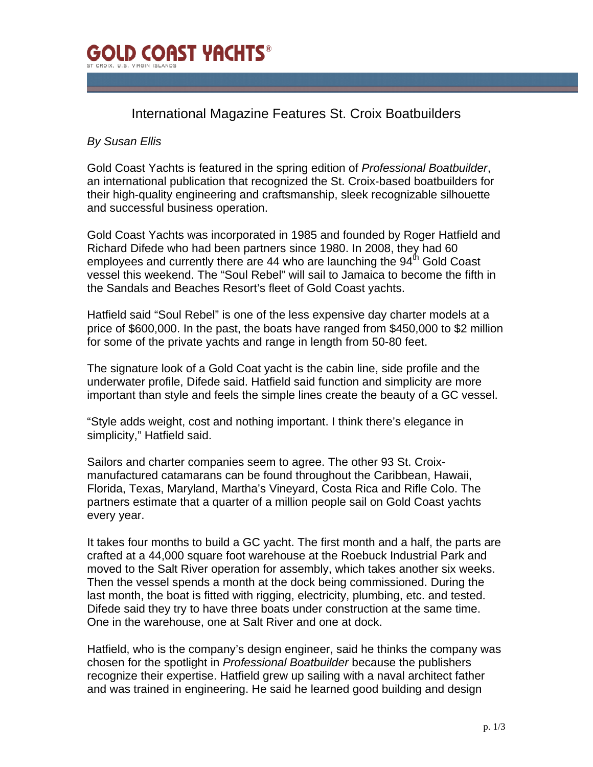

## International Magazine Features St. Croix Boatbuilders

## *By Susan Ellis*

Gold Coast Yachts is featured in the spring edition of *Professional Boatbuilder*, an international publication that recognized the St. Croix-based boatbuilders for their high-quality engineering and craftsmanship, sleek recognizable silhouette and successful business operation.

Gold Coast Yachts was incorporated in 1985 and founded by Roger Hatfield and Richard Difede who had been partners since 1980. In 2008, they had 60 employees and currently there are 44 who are launching the  $94<sup>th</sup>$  Gold Coast vessel this weekend. The "Soul Rebel" will sail to Jamaica to become the fifth in the Sandals and Beaches Resort's fleet of Gold Coast yachts.

Hatfield said "Soul Rebel" is one of the less expensive day charter models at a price of \$600,000. In the past, the boats have ranged from \$450,000 to \$2 million for some of the private yachts and range in length from 50-80 feet.

The signature look of a Gold Coat yacht is the cabin line, side profile and the underwater profile, Difede said. Hatfield said function and simplicity are more important than style and feels the simple lines create the beauty of a GC vessel.

"Style adds weight, cost and nothing important. I think there's elegance in simplicity," Hatfield said.

Sailors and charter companies seem to agree. The other 93 St. Croixmanufactured catamarans can be found throughout the Caribbean, Hawaii, Florida, Texas, Maryland, Martha's Vineyard, Costa Rica and Rifle Colo. The partners estimate that a quarter of a million people sail on Gold Coast yachts every year.

It takes four months to build a GC yacht. The first month and a half, the parts are crafted at a 44,000 square foot warehouse at the Roebuck Industrial Park and moved to the Salt River operation for assembly, which takes another six weeks. Then the vessel spends a month at the dock being commissioned. During the last month, the boat is fitted with rigging, electricity, plumbing, etc. and tested. Difede said they try to have three boats under construction at the same time. One in the warehouse, one at Salt River and one at dock.

Hatfield, who is the company's design engineer, said he thinks the company was chosen for the spotlight in *Professional Boatbuilder* because the publishers recognize their expertise. Hatfield grew up sailing with a naval architect father and was trained in engineering. He said he learned good building and design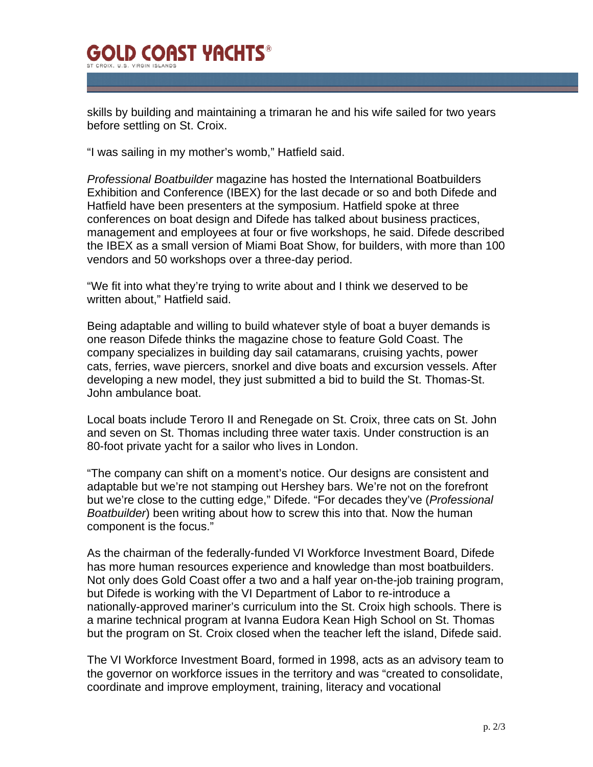## **GOLD COAST YACHTS®** ST CROIX II S VIRGIN ISLAND

skills by building and maintaining a trimaran he and his wife sailed for two years before settling on St. Croix.

"I was sailing in my mother's womb," Hatfield said.

*Professional Boatbuilder* magazine has hosted the International Boatbuilders Exhibition and Conference (IBEX) for the last decade or so and both Difede and Hatfield have been presenters at the symposium. Hatfield spoke at three conferences on boat design and Difede has talked about business practices, management and employees at four or five workshops, he said. Difede described the IBEX as a small version of Miami Boat Show, for builders, with more than 100 vendors and 50 workshops over a three-day period.

"We fit into what they're trying to write about and I think we deserved to be written about," Hatfield said.

Being adaptable and willing to build whatever style of boat a buyer demands is one reason Difede thinks the magazine chose to feature Gold Coast. The company specializes in building day sail catamarans, cruising yachts, power cats, ferries, wave piercers, snorkel and dive boats and excursion vessels. After developing a new model, they just submitted a bid to build the St. Thomas-St. John ambulance boat.

Local boats include Teroro II and Renegade on St. Croix, three cats on St. John and seven on St. Thomas including three water taxis. Under construction is an 80-foot private yacht for a sailor who lives in London.

"The company can shift on a moment's notice. Our designs are consistent and adaptable but we're not stamping out Hershey bars. We're not on the forefront but we're close to the cutting edge," Difede. "For decades they've (*Professional Boatbuilder*) been writing about how to screw this into that. Now the human component is the focus."

As the chairman of the federally-funded VI Workforce Investment Board, Difede has more human resources experience and knowledge than most boatbuilders. Not only does Gold Coast offer a two and a half year on-the-job training program, but Difede is working with the VI Department of Labor to re-introduce a nationally-approved mariner's curriculum into the St. Croix high schools. There is a marine technical program at Ivanna Eudora Kean High School on St. Thomas but the program on St. Croix closed when the teacher left the island, Difede said.

The VI Workforce Investment Board, formed in 1998, acts as an advisory team to the governor on workforce issues in the territory and was "created to consolidate, coordinate and improve employment, training, literacy and vocational